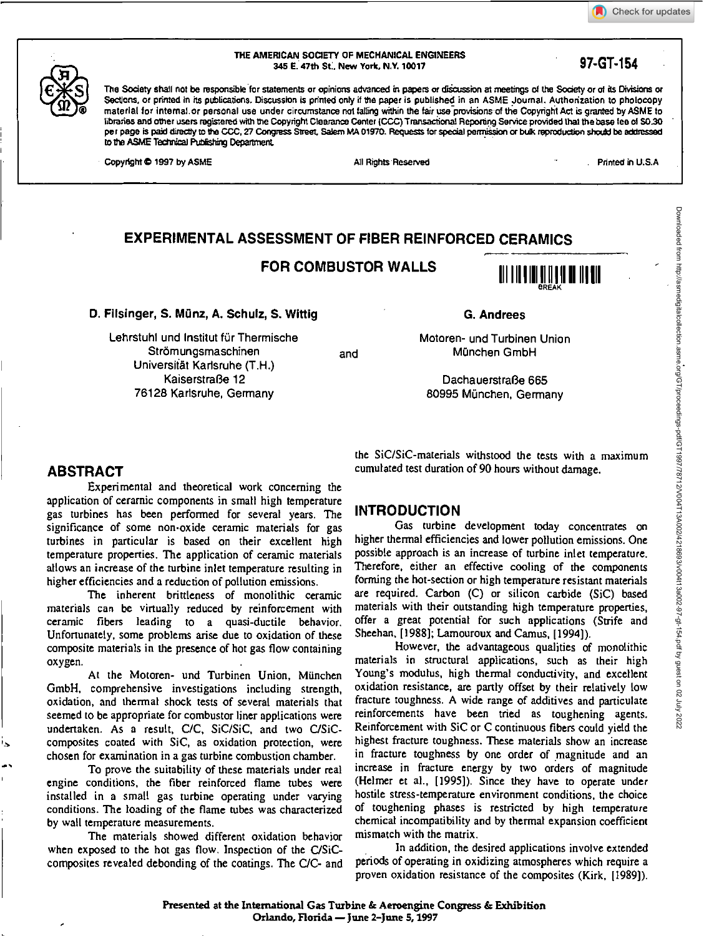# Downloaded from http://asmedigitalcollection.asme.org/GTproceedings-pdf/GT1997/18712/V004T13A002/4218693/v00411340002-97-154.pdf by guest on 02 July 2022 Downloaded from http://asmedigitalcollection.asme.org/GT/proceedings-pdf/GT1997/78712/V004T13A002/4218693/v004t13a002-97-gt-154.pdf by guest on 02 July 2022



### **THE AMERICAN SOCIETY OF MECHANICAL ENGINEERS 345 E. 47th St., New York, N.Y. 10017 97-GT-154**

The Society shall not be responsible for statements or opinions advanced in papers or discussion at meetings of the Society or of its Divisions or Sections, or printed in its publications. Discussion is printed only if the paper is published in an ASME Journal. Authorization to photocopy material for intemal. or personal use under circumstance not falling within the fair use provisionsof the Copyright Act is granted by ASME to libraries and other users registered with the Copyright Clearance Center (CCC)Transactional Reponing Service provided that the base lee ol \$0.30 per page is paid directly to the CCC, 27 Congress Street, Salem MA 01970. Requests for special permission or bulk reproduction should be addressed to the ASME Technical Publishing Department.

Copyright © 1997 by ASME All Rights Reserved All Rights Reserved Printed in U.S.A

# **EXPERIMENTAL ASSESSMENT OF FIBER REINFORCED CERAMICS**

**FOR COMBUSTOR WALLS** 



**D. Filsinger, S. Manz, A. Schulz, S. Wittig** 

Lehrstuhl und Institut für Thermische Strömungsmaschinen Universität Karlsruhe (T.H.) KaiserstraBe 12 76128 Karlsruhe, Germany

and

Dachauerstra6e 665 80995 Munchen, Germany

**G. Andrees** 

Motoren- und Turbinen Union München GmbH

# **ABSTRACT**

Experimental and theoretical work concerning the application of ceramic components in small high temperature gas turbines has been performed for several years. The significance of some non-oxide ceramic materials for gas turbines in particular is based on their excellent high temperature properties. The application of ceramic materials allows an increase of the turbine inlet temperature resulting in higher efficiencies and a reduction of pollution emissions.

The inherent brittleness of monolithic ceramic materials can be virtually reduced by reinforcement with ceramic fibers leading to a quasi-ductile behavior. Unfortunately, some problems arise due to oxidation of these composite materials in the presence of hot gas flow containing oxygen.

At the Motoren- und Turbinen Union, Miinchen GmbH, comprehensive investigations including strength, oxidation, and thermal shock tests of several materials that seemed to be appropriate for combustor liner applications were undertaken. As a result, C/C, SiC/SiC, and two C/SiCcomposites coated with SiC, as oxidation protection, were chosen for examination in a gas turbine combustion chamber.

To prove the suitability of these materials under real engine conditions, the fiber reinforced flame tubes were installed in a small gas turbine operating under varying conditions. The loading of the flame tubes was characterized by wall temperature measurements.

The materials showed different oxidation behavior when exposed to the hot gas flow. Inspection of the C/SiCcomposites revealed debonding of the coatings. The C/C- and the SiC/SiC-materials withstood the tests with a maximum cumulated test duration of 90 hours without damage.

# **INTRODUCTION**

Gas turbine development today concentrates on higher thermal efficiencies and lower pollution emissions. One possible approach is an increase of turbine inlet temperature. Therefore, either an effective cooling of the components forming the hot-section or high temperature resistant materials are required. Carbon (C) or silicon carbide (SiC) based materials with their outstanding high temperature properties, offer a great potential for such applications (Strife and Sheehan, [1988]; Lamouroux and Camus, [1994]).

However, the advantageous qualities of monolithic materials in structural applications, such as their high Young's modulus, high thermal conductivity, and excellent oxidation resistance, are partly offset by their relatively low fracture toughness. A wide range of additives and particulate reinforcements have been tried as toughening agents. Reinforcement with SiC or C continuous fibers could yield the highest fracture toughness. These materials show an increase in fracture toughness by one order of magnitude and an increase in fracture energy by two orders of magnitude (Helmer et al., [1995]). Since they have to operate under hostile stress-temperature environment conditions, the choice of toughening phases is restricted by high temperature chemical incompatibility and by thermal expansion coefficient mismatch with the matrix.

In addition, the desired applications involve extended periods of operating in oxidizing atmospheres which require a proven oxidation resistance of the composites (Kirk, [1989]).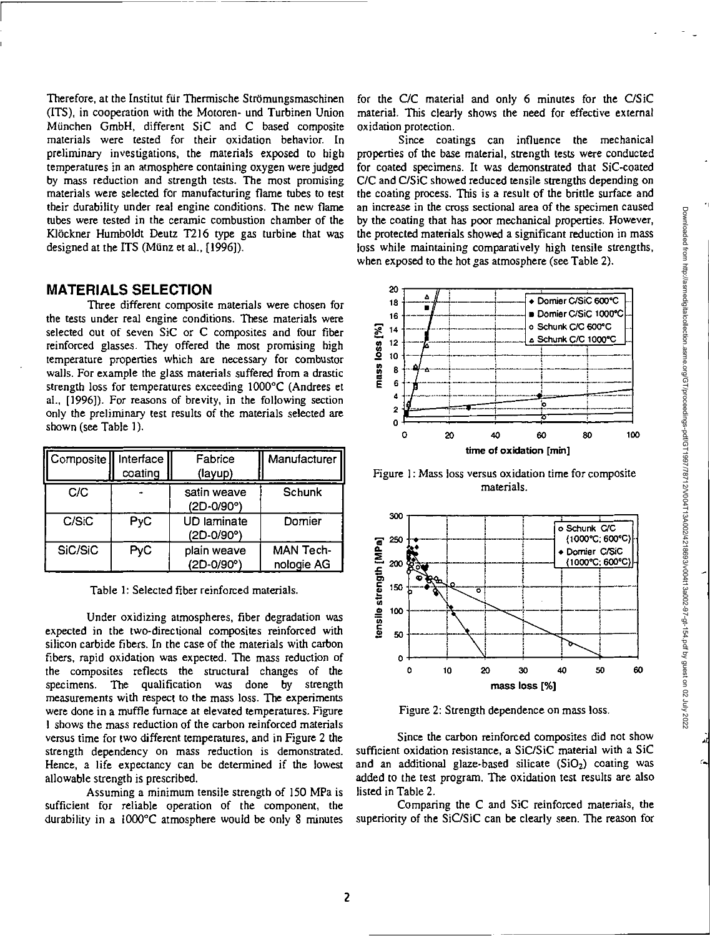Therefore, at the Institut für Thermische Strömungsmaschinen (ITS), in cooperation with the Motoren- und Turbinen Union Miinchen GmbH, different SiC and C based composite materials were tested for their oxidation behavior. In preliminary investigations, the materials exposed to high temperatures in an atmosphere containing oxygen were judged by mass reduction and strength tests. The most promising materials were selected for manufacturing flame tubes to test their durability under real engine conditions. The new flame tubes were tested in the ceramic combustion chamber of the Klöckner Humboldt Deutz T216 type gas turbine that was designed at the ITS (Münz et al., [1996]).

# **MATERIALS SELECTION**

Three different composite materials were chosen for the tests under real engine conditions. These materials were selected out of seven SiC or C composites and four fiber reinforced glasses. They offered the most promising high temperature properties which are necessary for combustor walls. For example the glass materials suffered from a drastic strength loss for temperatures exceeding 1000°C (Andrees et al., [1996]). For reasons of brevity, in the following section only the preliminary test results of the materials selected are shown (see Table 1).

| Composite | Interface<br>coating | Fabrice<br>(layup)               | Manufacturer                   |
|-----------|----------------------|----------------------------------|--------------------------------|
| C/C       |                      | satin weave<br>(2D-0/90°)        | Schunk                         |
| C/SiC     | PyC                  | <b>UD</b> laminate<br>(2D-0/90°) | Domier                         |
| SiC/SiC   | <b>PyC</b>           | plain weave<br>(2D-0/90°)        | <b>MAN Tech-</b><br>nologie AG |

Table 1: Selected fiber reinforced materials.

Under oxidizing atmospheres, fiber degradation was expected in the two-directional composites reinforced with silicon carbide fibers. In the case of the materials with carbon fibers, rapid oxidation was expected. The mass reduction of the composites reflects the structural changes of the specimens. The qualification was done by strength measurements with respect to the mass loss. The experiments were done in a muffle furnace at elevated temperatures. Figure 1 shows the mass reduction of the carbon reinforced materials versus time for two different temperatures, and in Figure 2 the strength dependency on mass reduction is demonstrated. Hence, a life expectancy can be determined if the lowest allowable strength is prescribed.

Assuming a minimum tensile strength of 150 MPa is sufficient for reliable operation of the component, the durability in a I000°C atmosphere would be only 8 minutes for the C/C material and only 6 minutes for the C/SiC material. This clearly shows the need for effective external oxidation protection.

Since coatings can influence the mechanical properties of the base material, strength tests were conducted for coated specimens. It was demonstrated that SIC-coated C/C and C/SiC showed reduced tensile strengths depending on the coating process. This is a result of the brittle surface and an increase in the cross sectional area of the specimen caused by the coating that has poor mechanical properties. However, the protected materials showed a significant reduction in mass loss while maintaining comparatively high tensile strengths, *when* exposed to the hot gas atmosphere (see Table 2).



Figure 1: Mass loss versus oxidation time for composite materials.



Figure 2: Strength dependence on mass loss.

Since the carbon reinforced composites did not show sufficient oxidation resistance, a SiC/SiC material with a SiC and an additional glaze-based silicate  $(SiO<sub>2</sub>)$  coating was added to the test program. The oxidation test results are also listed in Table 2.

Comparing the C and SiC reinforced materials, the superiority of the SiC/SiC can be clearly seen. The reason for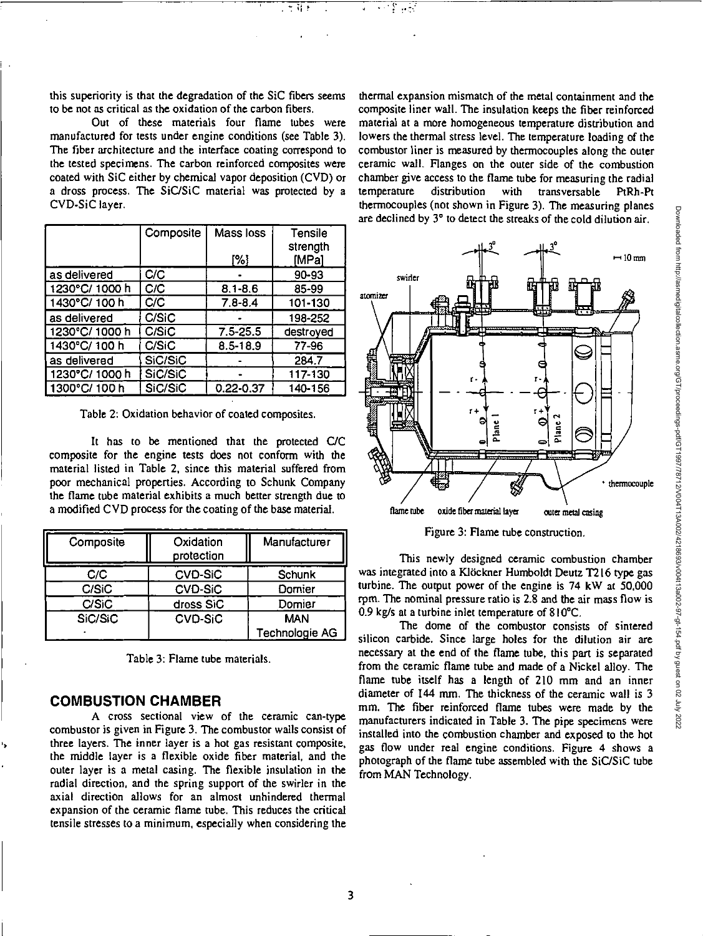this superiority is that the degradation of the SIC fibers seems to be not as critical as the oxidation of the carbon fibers.

新!

Out of these materials four flame tubes were manufactured for tests under engine conditions (see Table 3). The fiber architecture and the interface coating correspond to the tested specimens. The carbon reinforced composites were coated with SiC either by chemical vapor deposition (CVD) or a dross process. The SiC/SiC material was protected by a CVD-SiC layer.

|               | Composite | Mass loss     | Tensile           |
|---------------|-----------|---------------|-------------------|
|               |           | [%]           | strength<br>[MPa] |
|               |           |               |                   |
| as delivered  | C/C       |               | 90-93             |
| 1230°C/1000h  | C/C       | $8.1 - 8.6$   | 85-99             |
| 1430°C/100h   | C/C       | $7.8 - 8.4$   | 101-130           |
| as delivered  | C/SiC     |               | 198-252           |
| 1230°C/1000 h | C/SiC     | $7.5 - 25.5$  | destroyed         |
| 1430°C/100 h  | C/SiC     | $8.5 - 18.9$  | 77-96             |
| as delivered  | SiC/SiC   |               | 284.7             |
| 1230°C/1000h  | SiC/SiC   |               | 117-130           |
| 1300°C/100h   | SiC/SiC   | $0.22 - 0.37$ | 140-156           |

Table 2: Oxidation behavior of coated composites.

It has to be mentioned that the protected C/C composite for the engine tests does not conform with the material listed in Table 2, since this material suffered from poor mechanical properties. According to Schunk Company the flame tube material exhibits a much better strength due to a modified CVD process for the coating of the base material.

| Composite | Oxidation<br>protection | Manufacturer   |
|-----------|-------------------------|----------------|
| C/C       | <b>CVD-SiC</b>          | <b>Schunk</b>  |
| C/SiC     | <b>CVD-SiC</b>          | Domier         |
| C/SiC     | dross SiC               | Domier         |
| SiC/SiC   | <b>CVD-SiC</b>          | <b>MAN</b>     |
|           |                         | Technologie AG |

Table 3: Flame tube materials.

### **COMBUSTION CHAMBER**

A Cross sectional view of the ceramic can-type combustor is given in Figure 3. The combustor walls consist of three layers. The inner layer is a hot gas resistant composite, the middle layer is a flexible oxide fiber material, and the outer layer is a metal casing. The flexible insulation in the radial direction, and the spring support of the swirler in the axial direction allows for an almost unhindered thermal expansion of the ceramic flame tube. This reduces the critical tensile stresses to a minimum, especially when considering the

thermal expansion mismatch of the metal containment and the composite liner wall. The insulation keeps the fiber reinforced material at a more homogeneous temperature distribution and lowers the thermal stress level. The temperature loading of the combustor liner is measured by thermocouples along the outer ceramic wall. Flanges on the outer side of the combustion chamber give access to the flame tube for measuring the radial temperature distribution with transversable PtRh-Pt thermocouples (not shown in Figure 3). The measuring planes are declined by 3° to detect the streaks of the cold dilution air.



Figure 3: Flame tube construction.

This newly designed ceramic combustion chamber was integrated into a Klöckner Humboldt Deutz T216 type gas turbine. The output power of the engine is 74 kW at 50,000 rpm. The nominal pressure ratio is 2.8 and the air mass flow is 0.9 kg/s at a turbine inlet temperature of 810°C.

The dome of the combustor consists of sintered silicon carbide. Since large holes for the dilution air are necessary at the end of the flame tube, this part is separated from the ceramic flame tube and made of a Nickel alloy. The flame tube itself has a length of 210 mm and an inner diameter of 144 mm. The thickness of the ceramic wall is 3 mm. The fiber reinforced flame tubes were made by the manufacturers indicated in Table 3. The pipe specimens were installed into the combustion chamber and exposed to the hot gas flow under real engine conditions. Figure 4 shows a photograph of the flame tube assembled with the SiC/SiC tube from MAN Technology.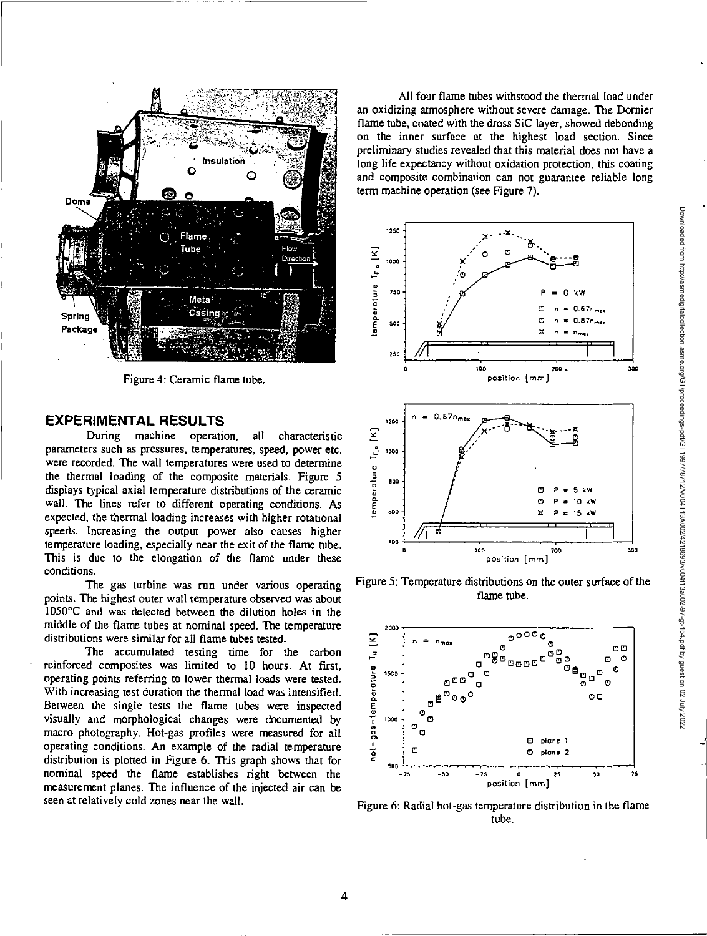

Figure 4: Ceramic flame tube.

### **EXPERIMENTAL RESULTS**

During machine operation, all characteristic parameters such as pressures, temperatures, speed, power etc. were recorded. The wall temperatures were used to determine the thermal loading of the composite materials. Figure 5 displays typical axial temperature distributions of the ceramic wall. The lines refer to different operating conditions. As expected, the thermal loading increases with higher rotational speeds. Increasing the output power also causes higher temperature loading, especially near the exit of the flame tube. This is due to the elongation of the flame under these conditions.

The gas turbine was run under various operating points. The highest outer wall temperature observed was about 1050°C and was detected between the dilution holes in the middle of the flame tubes at nominal speed. The temperature distributions were similar for all flame tubes tested.

The accumulated testing time for the carbon reinforced composites was limited to 10 hours. At first, operating points referring to lower thermal loads were tested. With increasing test duration the thermal load was intensified. Between the single tests the flame tubes were inspected visually and morphological changes were documented by macro photography. Hot-gas profiles were measured for all operating conditions. An example of the radial temperature distribution is plotted in Figure 6. This graph shows that for nominal speed the flame establishes right between the measurement planes. The influence of the injected air can be seen at relatively cold zones near the wall.

All four flame tubes withstood the thermal load under an oxidizing atmosphere without severe damage. The Dornier flame tube, coated with the dross SiC layer, showed debonding on the inner surface at the highest load section. Since preliminary studies revealed that this material does not have a long life expectancy without oxidation protection, this coating and composite combination can not guarantee reliable long term machine operation (see Figure 7).



Figure 5: Temperature distributions on the outer surface of the flame tube.



Figure 6: Radial hot-gas temperature distribution in the flame tube.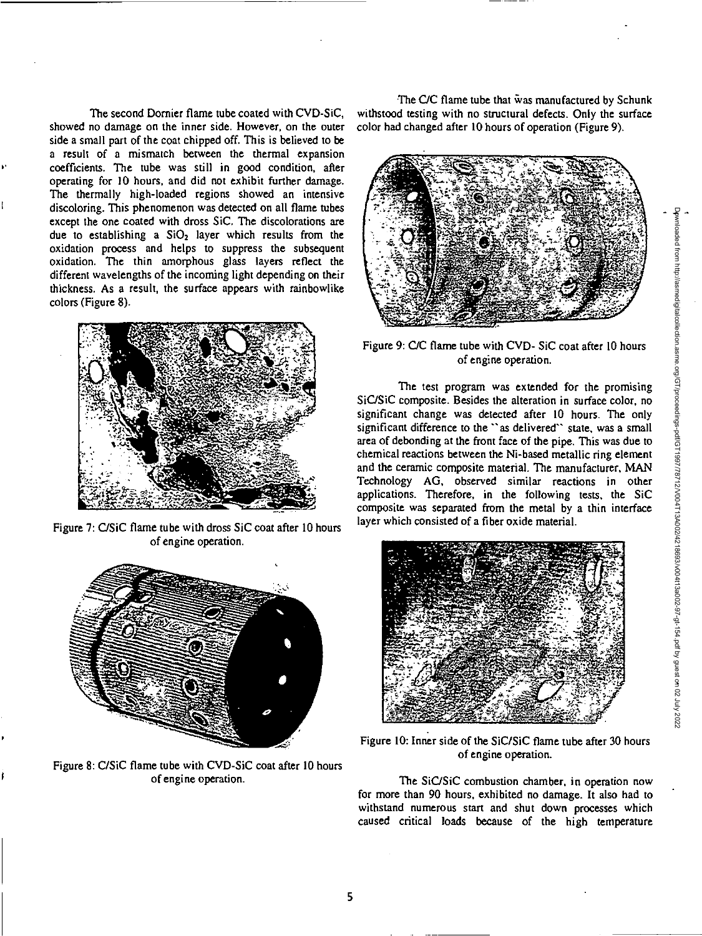The second Dornier flame tube coated with CVD-SiC, showed no damage on the inner side. However, on the outer side a small part of the coat chipped off. This is believed to be a result of a mismatch between the thermal expansion coefficients. The tube was still in good condition, after operating for 10 hours, and did not exhibit further damage. The thermally high-loaded regions showed an intensive discoloring. This phenomenon was detected on all flame tubes except the one coated with dross SiC. The discolorations are due to establishing a  $SiO<sub>2</sub>$  layer which results from the oxidation process and helps to suppress the subsequent oxidation. The thin amorphous glass layers reflect the different wavelengths of the incoming light depending on their thickness. As a result, the surface appears with rainbowlike colors (Figure 8).



Figure 7: C/SiC flame tube with dross SiC coat after 10 hours of engine operation.



Figure 8: C/SiC flame tube with CVD-SiC coat after 10 hours of engine operation.

The C/C flame tube that was manufactured by Schunk withstood testing with no structural defects. Only the surface color had changed after 10 hours of operation (Figure 9).



Figure 9: C/C flame tube with CVD- SiC coat after 10 hours of engine operation.

The test program was extended for the promising SiC/SiC composite. Besides the alteration in surface color, no significant change was detected after 10 hours. The only significant difference to the "as delivered" state, was a small area of debonding at the front face of the pipe. This was due to chemical reactions between the Ni-based metallic ring element and the ceramic composite material. The manufacturer, MAN Technology AG, observed similar reactions in other applications. Therefore, in the following tests, the SiC composite was separated from the metal by a thin interface layer which consisted of a fiber oxide material.



Figure 10: Inner side of the SiC/SiC flame tube after 30 hours of engine operation.

The SiC/SiC combustion chamber, in operation now for more than 90 hours, exhibited no damage. It also had to withstand numerous start and shut down processes which caused critical loads because of the high temperature